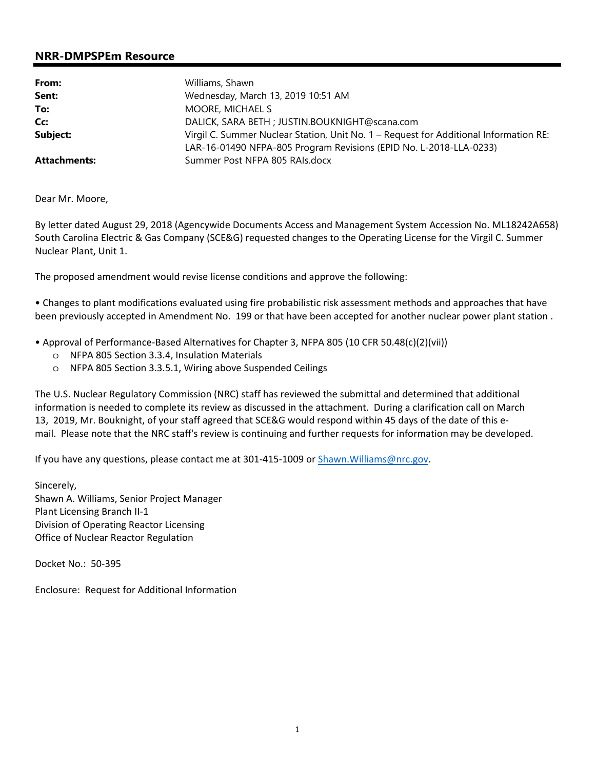# **NRR-DMPSPEm Resource**

| From:               | Williams, Shawn                                                                       |  |
|---------------------|---------------------------------------------------------------------------------------|--|
| Sent:               | Wednesday, March 13, 2019 10:51 AM                                                    |  |
| To:                 | MOORE, MICHAEL S                                                                      |  |
| Cc:                 | DALICK, SARA BETH ; JUSTIN.BOUKNIGHT@scana.com                                        |  |
| Subject:            | Virgil C. Summer Nuclear Station, Unit No. 1 – Request for Additional Information RE: |  |
|                     | LAR-16-01490 NFPA-805 Program Revisions (EPID No. L-2018-LLA-0233)                    |  |
| <b>Attachments:</b> | Summer Post NFPA 805 RAIs.docx                                                        |  |

Dear Mr. Moore,

By letter dated August 29, 2018 (Agencywide Documents Access and Management System Accession No. ML18242A658) South Carolina Electric & Gas Company (SCE&G) requested changes to the Operating License for the Virgil C. Summer Nuclear Plant, Unit 1.

The proposed amendment would revise license conditions and approve the following:

• Changes to plant modifications evaluated using fire probabilistic risk assessment methods and approaches that have been previously accepted in Amendment No. 199 or that have been accepted for another nuclear power plant station .

- Approval of Performance-Based Alternatives for Chapter 3, NFPA 805 (10 CFR 50.48(c)(2)(vii))
	- o NFPA 805 Section 3.3.4, Insulation Materials
	- o NFPA 805 Section 3.3.5.1, Wiring above Suspended Ceilings

The U.S. Nuclear Regulatory Commission (NRC) staff has reviewed the submittal and determined that additional information is needed to complete its review as discussed in the attachment. During a clarification call on March 13, 2019, Mr. Bouknight, of your staff agreed that SCE&G would respond within 45 days of the date of this email. Please note that the NRC staff's review is continuing and further requests for information may be developed.

If you have any questions, please contact me at 301-415-1009 or Shawn. Williams@nrc.gov.

Sincerely, Shawn A. Williams, Senior Project Manager Plant Licensing Branch II-1 Division of Operating Reactor Licensing Office of Nuclear Reactor Regulation

Docket No.: 50-395

Enclosure: Request for Additional Information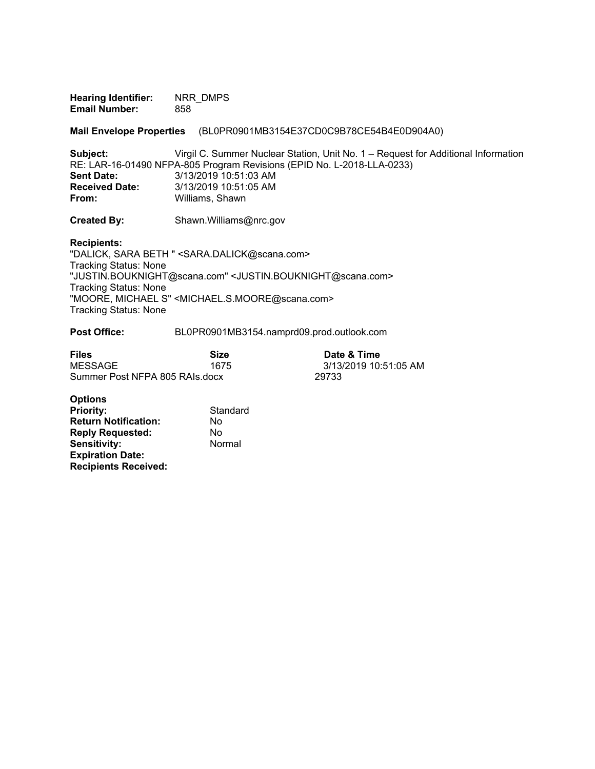**Hearing Identifier:** NRR\_DMPS **Email Number:** 858

**Mail Envelope Properties** (BL0PR0901MB3154E37CD0C9B78CE54B4E0D904A0)

**Subject:** Virgil C. Summer Nuclear Station, Unit No. 1 – Request for Additional Information RE: LAR-16-01490 NFPA-805 Program Revisions (EPID No. L-2018-LLA-0233)<br>Sent Date: 3/13/2019 10:51:03 AM **Sent Date:** 3/13/2019 10:51:03 AM **Received Date:** 3/13/2019 10:51:05 AM<br>**From:** Williams. Shawn **From:** Williams, Shawn

**Created By:** Shawn.Williams@nrc.gov

**Recipients:** 

"DALICK, SARA BETH " <SARA.DALICK@scana.com> Tracking Status: None "JUSTIN.BOUKNIGHT@scana.com" <JUSTIN.BOUKNIGHT@scana.com> Tracking Status: None "MOORE, MICHAEL S" <MICHAEL.S.MOORE@scana.com> Tracking Status: None

**Post Office:** BL0PR0901MB3154.namprd09.prod.outlook.com

| <b>Files</b>                   | Size | Date & Time           |
|--------------------------------|------|-----------------------|
| <b>MESSAGE</b>                 | 1675 | 3/13/2019 10:51:05 AM |
| Summer Post NFPA 805 RAIs.docx |      | 29733                 |

| <b>Options</b>              |          |
|-----------------------------|----------|
| <b>Priority:</b>            | Standard |
| <b>Return Notification:</b> | No       |
| <b>Reply Requested:</b>     | No       |
| <b>Sensitivity:</b>         | Normal   |
| <b>Expiration Date:</b>     |          |
| <b>Recipients Received:</b> |          |